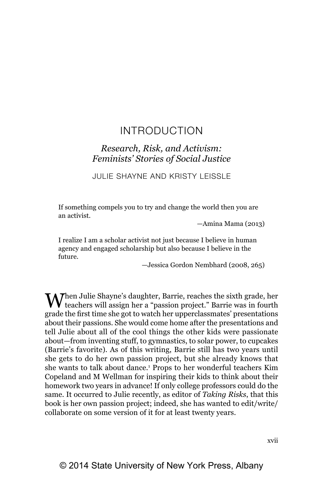# INTRODUCTION

# *Research, Risk, and Activism: Feminists' Stories of Social Justice*

JULIE SHAYNE AND KRISTY LEISSLE

If something compels you to try and change the world then you are an activist.

—Amina Mama (2013)

I realize I am a scholar activist not just because I believe in human agency and engaged scholarship but also because I believe in the future.

—Jessica Gordon Nembhard (2008, 265)

When Julie Shayne's daughter, Barrie, reaches the sixth grade, her teachers will assign her a "passion project." Barrie was in fourth grade the first time she got to watch her upperclassmates' presentations about their passions. She would come home after the presentations and tell Julie about all of the cool things the other kids were passionate about—from inventing stuff, to gymnastics, to solar power, to cupcakes (Barrie's favorite). As of this writing, Barrie still has two years until she gets to do her own passion project, but she already knows that she wants to talk about dance.<sup>1</sup> Props to her wonderful teachers Kim Copeland and M Wellman for inspiring their kids to think about their homework two years in advance! If only college professors could do the same. It occurred to Julie recently, as editor of *Taking Risks*, that this book is her own passion project; indeed, she has wanted to edit/write/ collaborate on some version of it for at least twenty years.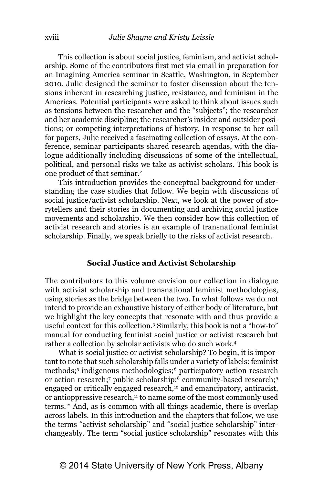This collection is about social justice, feminism, and activist scholarship. Some of the contributors first met via email in preparation for an Imagining America seminar in Seattle, Washington, in September 2010. Julie designed the seminar to foster discussion about the tensions inherent in researching justice, resistance, and feminism in the Americas. Potential participants were asked to think about issues such as tensions between the researcher and the "subjects"; the researcher and her academic discipline; the researcher's insider and outsider positions; or competing interpretations of history. In response to her call for papers, Julie received a fascinating collection of essays. At the conference, seminar participants shared research agendas, with the dialogue additionally including discussions of some of the intellectual, political, and personal risks we take as activist scholars. This book is one product of that seminar.2

This introduction provides the conceptual background for understanding the case studies that follow. We begin with discussions of social justice/activist scholarship. Next, we look at the power of storytellers and their stories in documenting and archiving social justice movements and scholarship. We then consider how this collection of activist research and stories is an example of transnational feminist scholarship. Finally, we speak briefly to the risks of activist research.

#### **Social Justice and Activist Scholarship**

The contributors to this volume envision our collection in dialogue with activist scholarship and transnational feminist methodologies, using stories as the bridge between the two. In what follows we do not intend to provide an exhaustive history of either body of literature, but we highlight the key concepts that resonate with and thus provide a useful context for this collection.3 Similarly, this book is not a "how-to" manual for conducting feminist social justice or activist research but rather a collection by scholar activists who do such work.4

What is social justice or activist scholarship? To begin, it is important to note that such scholarship falls under a variety of labels: feminist methods;5 indigenous methodologies;6 participatory action research or action research;<sup>7</sup> public scholarship;<sup>8</sup> community-based research;<sup>9</sup> engaged or critically engaged research,<sup>10</sup> and emancipatory, antiracist, or antioppressive research,<sup>11</sup> to name some of the most commonly used terms.12 And, as is common with all things academic, there is overlap across labels. In this introduction and the chapters that follow, we use the terms "activist scholarship" and "social justice scholarship" interchangeably. The term "social justice scholarship" resonates with this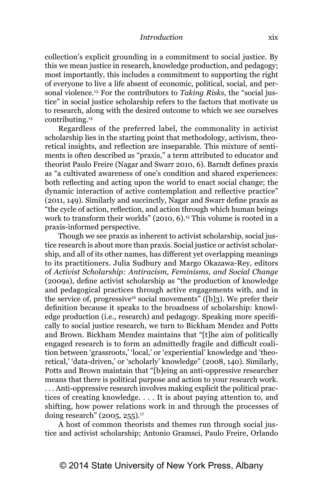#### *Introduction* xix

collection's explicit grounding in a commitment to social justice. By this we mean justice in research, knowledge production, and pedagogy; most importantly, this includes a commitment to supporting the right of everyone to live a life absent of economic, political, social, and personal violence.13 For the contributors to *Taking Risks*, the "social justice" in social justice scholarship refers to the factors that motivate us to research, along with the desired outcome to which we see ourselves contributing.14

Regardless of the preferred label, the commonality in activist scholarship lies in the starting point that methodology, activism, theoretical insights, and reflection are inseparable. This mixture of sentiments is often described as "praxis," a term attributed to educator and theorist Paulo Freire (Nagar and Swarr 2010, 6). Barndt defines praxis as "a cultivated awareness of one's condition and shared experiences: both reflecting and acting upon the world to enact social change; the dynamic interaction of active contemplation and reflective practice" (2011, 149). Similarly and succinctly, Nagar and Swarr define praxis as "the cycle of action, reflection, and action through which human beings work to transform their worlds" (2010, 6).<sup>15</sup> This volume is rooted in a praxis-informed perspective.

Though we see praxis as inherent to activist scholarship, social justice research is about more than praxis. Social justice or activist scholarship, and all of its other names, has different yet overlapping meanings to its practitioners. Julia Sudbury and Margo Okazawa-Rey, editors of *Activist Scholarship: Antiracism, Feminisms, and Social Change* (2009a), define activist scholarship as "the production of knowledge and pedagogical practices through active engagements with, and in the service of, progressive<sup>16</sup> social movements" ([b]3). We prefer their definition because it speaks to the broadness of scholarship: knowledge production (i.e., research) and pedagogy. Speaking more specifically to social justice research, we turn to Bickham Mendez and Potts and Brown. Bickham Mendez maintains that "[t]he aim of politically engaged research is to form an admittedly fragile and difficult coalition between 'grassroots,' 'local,' or 'experiential' knowledge and 'theoretical,' 'data-driven,' or 'scholarly' knowledge" (2008, 140). Similarly, Potts and Brown maintain that "[b]eing an anti-oppressive researcher means that there is political purpose and action to your research work. . . . Anti-oppressive research involves making explicit the political practices of creating knowledge. . . . It is about paying attention to, and shifting, how power relations work in and through the processes of doing research" (2005, 255). $17$ 

A host of common theorists and themes run through social justice and activist scholarship; Antonio Gramsci, Paulo Freire, Orlando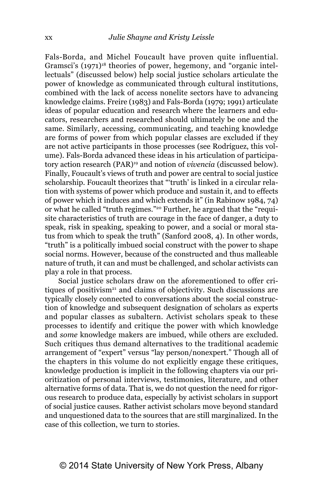Fals-Borda, and Michel Foucault have proven quite influential. Gramsci's  $(1971)^{18}$  theories of power, hegemony, and "organic intellectuals" (discussed below) help social justice scholars articulate the power of knowledge as communicated through cultural institutions, combined with the lack of access nonelite sectors have to advancing knowledge claims. Freire (1983) and Fals-Borda (1979; 1991) articulate ideas of popular education and research where the learners and educators, researchers and researched should ultimately be one and the same. Similarly, accessing, communicating, and teaching knowledge are forms of power from which popular classes are excluded if they are not active participants in those processes (see Rodríguez, this volume). Fals-Borda advanced these ideas in his articulation of participatory action research (PAR)19 and notion of *vivencia* (discussed below). Finally, Foucault's views of truth and power are central to social justice scholarship. Foucault theorizes that "'truth' is linked in a circular relation with systems of power which produce and sustain it, and to effects of power which it induces and which extends it" (in Rabinow 1984, 74) or what he called "truth regimes."20 Further, he argued that the "requisite characteristics of truth are courage in the face of danger, a duty to speak, risk in speaking, speaking to power, and a social or moral status from which to speak the truth" (Sanford 2008, 4). In other words, "truth" is a politically imbued social construct with the power to shape social norms. However, because of the constructed and thus malleable nature of truth, it can and must be challenged, and scholar activists can play a role in that process.

Social justice scholars draw on the aforementioned to offer critiques of positivism<sup>21</sup> and claims of objectivity. Such discussions are typically closely connected to conversations about the social construction of knowledge and subsequent designation of scholars as experts and popular classes as subaltern. Activist scholars speak to these processes to identify and critique the power with which knowledge and *some* knowledge makers are imbued, while others are excluded. Such critiques thus demand alternatives to the traditional academic arrangement of "expert" versus "lay person/nonexpert." Though all of the chapters in this volume do not explicitly engage these critiques, knowledge production is implicit in the following chapters via our prioritization of personal interviews, testimonies, literature, and other alternative forms of data. That is, we do not question the need for rigorous research to produce data, especially by activist scholars in support of social justice causes. Rather activist scholars move beyond standard and unquestioned data to the sources that are still marginalized. In the case of this collection, we turn to stories.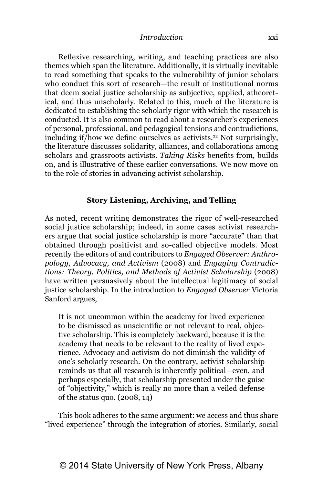# *Introduction* xxi

Reflexive researching, writing, and teaching practices are also themes which span the literature. Additionally, it is virtually inevitable to read something that speaks to the vulnerability of junior scholars who conduct this sort of research—the result of institutional norms that deem social justice scholarship as subjective, applied, atheoretical, and thus unscholarly. Related to this, much of the literature is dedicated to establishing the scholarly rigor with which the research is conducted. It is also common to read about a researcher's experiences of personal, professional, and pedagogical tensions and contradictions, including if/how we define ourselves as activists.<sup>22</sup> Not surprisingly, the literature discusses solidarity, alliances, and collaborations among scholars and grassroots activists. *Taking Risks* benefits from, builds on, and is illustrative of these earlier conversations. We now move on to the role of stories in advancing activist scholarship.

# **Story Listening, Archiving, and Telling**

As noted, recent writing demonstrates the rigor of well-researched social justice scholarship; indeed, in some cases activist researchers argue that social justice scholarship is more "accurate" than that obtained through positivist and so-called objective models. Most recently the editors of and contributors to *Engaged Observer: Anthropology, Advocacy, and Activism* (2008) and *Engaging Contradictions: Theory, Politics, and Methods of Activist Scholarship* (2008) have written persuasively about the intellectual legitimacy of social justice scholarship. In the introduction to *Engaged Observer* Victoria Sanford argues,

It is not uncommon within the academy for lived experience to be dismissed as unscientific or not relevant to real, objective scholarship. This is completely backward, because it is the academy that needs to be relevant to the reality of lived experience. Advocacy and activism do not diminish the validity of one's scholarly research. On the contrary, activist scholarship reminds us that all research is inherently political—even, and perhaps especially, that scholarship presented under the guise of "objectivity," which is really no more than a veiled defense of the status quo. (2008, 14)

This book adheres to the same argument: we access and thus share "lived experience" through the integration of stories. Similarly, social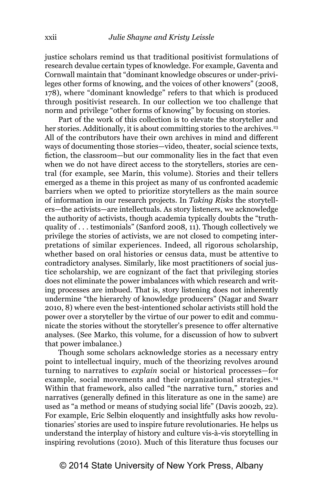justice scholars remind us that traditional positivist formulations of research devalue certain types of knowledge. For example, Gaventa and Cornwall maintain that "dominant knowledge obscures or under-privileges other forms of knowing, and the voices of other knowers" (2008, 178), where "dominant knowledge" refers to that which is produced through positivist research. In our collection we too challenge that norm and privilege "other forms of knowing" by focusing on stories.

Part of the work of this collection is to elevate the storyteller and her stories. Additionally, it is about committing stories to the archives.<sup>23</sup> All of the contributors have their own archives in mind and different ways of documenting those stories—video, theater, social science texts, fiction, the classroom—but our commonality lies in the fact that even when we do not have direct access to the storytellers, stories are central (for example, see Marín, this volume). Stories and their tellers emerged as a theme in this project as many of us confronted academic barriers when we opted to prioritize storytellers as the main source of information in our research projects. In *Taking Risks* the storytellers—the activists—are intellectuals. As story listeners, we acknowledge the authority of activists, though academia typically doubts the "truthquality of . . . testimonials" (Sanford 2008, 11). Though collectively we privilege the stories of activists, we are not closed to competing interpretations of similar experiences. Indeed, all rigorous scholarship, whether based on oral histories or census data, must be attentive to contradictory analyses. Similarly, like most practitioners of social justice scholarship, we are cognizant of the fact that privileging stories does not eliminate the power imbalances with which research and writing processes are imbued. That is, story listening does not inherently undermine "the hierarchy of knowledge producers" (Nagar and Swarr 2010, 8) where even the best-intentioned scholar activists still hold the power over a storyteller by the virtue of our power to edit and communicate the stories without the storyteller's presence to offer alternative analyses. (See Marko, this volume, for a discussion of how to subvert that power imbalance.)

Though some scholars acknowledge stories as a necessary entry point to intellectual inquiry, much of the theorizing revolves around turning to narratives to *explain* social or historical processes—for example, social movements and their organizational strategies.<sup>24</sup> Within that framework, also called "the narrative turn," stories and narratives (generally defined in this literature as one in the same) are used as "a method or means of studying social life" (Davis 2002b, 22). For example, Eric Selbin eloquently and insightfully asks how revolutionaries' stories are used to inspire future revolutionaries. He helps us understand the interplay of history and culture vis-à-vis storytelling in inspiring revolutions (2010). Much of this literature thus focuses our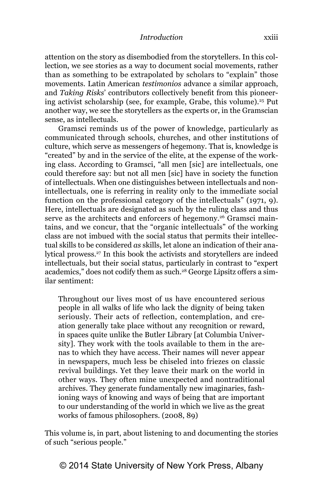#### *Introduction* xxiii

attention on the story as disembodied from the storytellers. In this collection, we see stories as a way to document social movements, rather than as something to be extrapolated by scholars to "explain" those movements. Latin American *testimonios* advance a similar approach, and *Taking Risks*' contributors collectively benefit from this pioneering activist scholarship (see, for example, Grabe, this volume).<sup>25</sup> Put another way, we see the storytellers as the experts or, in the Gramscian sense, as intellectuals.

Gramsci reminds us of the power of knowledge, particularly as communicated through schools, churches, and other institutions of culture, which serve as messengers of hegemony. That is, knowledge is "created" by and in the service of the elite, at the expense of the working class. According to Gramsci, "all men [sic] are intellectuals, one could therefore say: but not all men [sic] have in society the function of intellectuals. When one distinguishes between intellectuals and nonintellectuals, one is referring in reality only to the immediate social function on the professional category of the intellectuals" (1971, 9). Here, intellectuals are designated as such by the ruling class and thus serve as the architects and enforcers of hegemony.<sup>26</sup> Gramsci maintains, and we concur, that the "organic intellectuals" of the working class are not imbued with the social status that permits their intellectual skills to be considered *as* skills, let alone an indication of their analytical prowess.27 In this book the activists and storytellers are indeed intellectuals, but their social status, particularly in contrast to "expert academics," does not codify them as such.28 George Lipsitz offers a similar sentiment:

Throughout our lives most of us have encountered serious people in all walks of life who lack the dignity of being taken seriously. Their acts of reflection, contemplation, and creation generally take place without any recognition or reward, in spaces quite unlike the Butler Library [at Columbia University]. They work with the tools available to them in the arenas to which they have access. Their names will never appear in newspapers, much less be chiseled into friezes on classic revival buildings. Yet they leave their mark on the world in other ways. They often mine unexpected and nontraditional archives. They generate fundamentally new imaginaries, fashioning ways of knowing and ways of being that are important to our understanding of the world in which we live as the great works of famous philosophers. (2008, 89)

This volume is, in part, about listening to and documenting the stories of such "serious people."

© 2014 State University of New York Press, Albany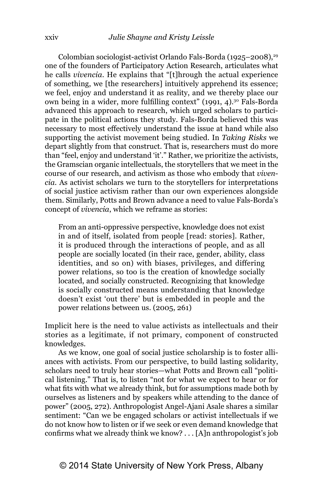Colombian sociologist-activist Orlando Fals-Borda (1925–2008),<sup>29</sup> one of the founders of Participatory Action Research, articulates what he calls *vivencia*. He explains that "[t]hrough the actual experience of something, we [the researchers] intuitively apprehend its essence; we feel, enjoy and understand it as reality, and we thereby place our own being in a wider, more fulfilling context" (1991, 4).30 Fals-Borda advanced this approach to research, which urged scholars to participate in the political actions they study. Fals-Borda believed this was necessary to most effectively understand the issue at hand while also supporting the activist movement being studied. In *Taking Risks* we depart slightly from that construct. That is, researchers must do more than "feel, enjoy and understand 'it'." Rather, we prioritize the activists, the Gramscian organic intellectuals, the storytellers that we meet in the course of our research, and activism as those who embody that *vivencia.* As activist scholars we turn to the storytellers for interpretations of social justice activism rather than our own experiences alongside them. Similarly, Potts and Brown advance a need to value Fals-Borda's concept of *vivencia*, which we reframe as stories:

From an anti-oppressive perspective, knowledge does not exist in and of itself, isolated from people [read: stories]. Rather, it is produced through the interactions of people, and as all people are socially located (in their race, gender, ability, class identities, and so on) with biases, privileges, and differing power relations, so too is the creation of knowledge socially located, and socially constructed. Recognizing that knowledge is socially constructed means understanding that knowledge doesn't exist 'out there' but is embedded in people and the power relations between us. (2005, 261)

Implicit here is the need to value activists as intellectuals and their stories as a legitimate, if not primary, component of constructed knowledges.

As we know, one goal of social justice scholarship is to foster alliances with activists. From our perspective, to build lasting solidarity, scholars need to truly hear stories—what Potts and Brown call "political listening." That is, to listen "not for what we expect to hear or for what fits with what we already think, but for assumptions made both by ourselves as listeners and by speakers while attending to the dance of power" (2005, 272). Anthropologist Angel-Ajani Asale shares a similar sentiment: "Can we be engaged scholars or activist intellectuals if we do not know how to listen or if we seek or even demand knowledge that confirms what we already think we know? . . . [A]n anthropologist's job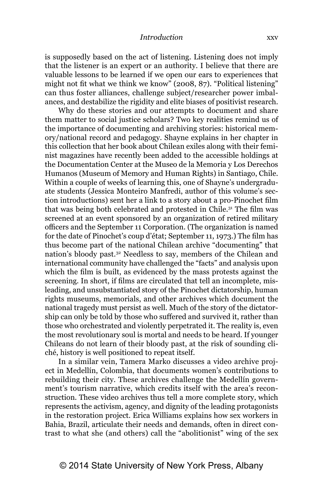# *Introduction* xxv

is supposedly based on the act of listening. Listening does not imply that the listener is an expert or an authority. I believe that there are valuable lessons to be learned if we open our ears to experiences that might not fit what we think we know" (2008, 87). "Political listening" can thus foster alliances, challenge subject/researcher power imbalances, and destabilize the rigidity and elite biases of positivist research.

Why do these stories and our attempts to document and share them matter to social justice scholars? Two key realities remind us of the importance of documenting and archiving stories: historical memory/national record and pedagogy. Shayne explains in her chapter in this collection that her book about Chilean exiles along with their feminist magazines have recently been added to the accessible holdings at the Documentation Center at the Museo de la Memoria y Los Derechos Humanos (Museum of Memory and Human Rights) in Santiago, Chile. Within a couple of weeks of learning this, one of Shayne's undergraduate students (Jessica Monteiro Manfredi, author of this volume's section introductions) sent her a link to a story about a pro-Pinochet film that was being both celebrated and protested in Chile.31 The film was screened at an event sponsored by an organization of retired military officers and the September 11 Corporation. (The organization is named for the date of Pinochet's coup d'état; September 11, 1973.) The film has thus become part of the national Chilean archive "documenting" that nation's bloody past.32 Needless to say, members of the Chilean and international community have challenged the "facts" and analysis upon which the film is built, as evidenced by the mass protests against the screening. In short, if films are circulated that tell an incomplete, misleading, and unsubstantiated story of the Pinochet dictatorship, human rights museums, memorials, and other archives which document the national tragedy must persist as well. Much of the story of the dictatorship can only be told by those who suffered and survived it, rather than those who orchestrated and violently perpetrated it. The reality is, even the most revolutionary soul is mortal and needs to be heard. If younger Chileans do not learn of their bloody past, at the risk of sounding cliché, history is well positioned to repeat itself.

In a similar vein, Tamera Marko discusses a video archive project in Medellín, Colombia, that documents women's contributions to rebuilding their city. These archives challenge the Medellín government's tourism narrative, which credits itself with the area's reconstruction. These video archives thus tell a more complete story, which represents the activism, agency, and dignity of the leading protagonists in the restoration project. Erica Williams explains how sex workers in Bahia, Brazil, articulate their needs and demands, often in direct contrast to what she (and others) call the "abolitionist" wing of the sex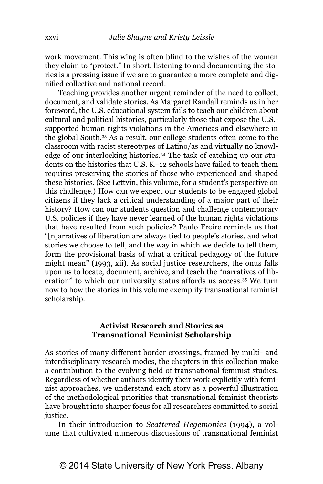work movement. This wing is often blind to the wishes of the women they claim to "protect." In short, listening to and documenting the stories is a pressing issue if we are to guarantee a more complete and dignified collective and national record.

Teaching provides another urgent reminder of the need to collect, document, and validate stories. As Margaret Randall reminds us in her foreword, the U.S. educational system fails to teach our children about cultural and political histories, particularly those that expose the U.S. supported human rights violations in the Americas and elsewhere in the global South.33 As a result, our college students often come to the classroom with racist stereotypes of Latino/as and virtually no knowledge of our interlocking histories.34 The task of catching up our students on the histories that U.S. K–12 schools have failed to teach them requires preserving the stories of those who experienced and shaped these histories. (See Lettvin, this volume, for a student's perspective on this challenge.) How can we expect our students to be engaged global citizens if they lack a critical understanding of a major part of their history? How can our students question and challenge contemporary U.S. policies if they have never learned of the human rights violations that have resulted from such policies? Paulo Freire reminds us that "[n]arratives of liberation are always tied to people's stories, and what stories we choose to tell, and the way in which we decide to tell them, form the provisional basis of what a critical pedagogy of the future might mean" (1993, xii). As social justice researchers, the onus falls upon us to locate, document, archive, and teach the "narratives of liberation" to which our university status affords us access.35 We turn now to how the stories in this volume exemplify transnational feminist scholarship.

# **Activist Research and Stories as Transnational Feminist Scholarship**

As stories of many different border crossings, framed by multi- and interdisciplinary research modes, the chapters in this collection make a contribution to the evolving field of transnational feminist studies. Regardless of whether authors identify their work explicitly with feminist approaches, we understand each story as a powerful illustration of the methodological priorities that transnational feminist theorists have brought into sharper focus for all researchers committed to social justice.

In their introduction to *Scattered Hegemonies* (1994), a volume that cultivated numerous discussions of transnational feminist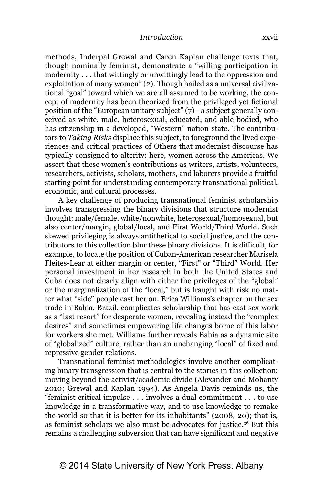methods, Inderpal Grewal and Caren Kaplan challenge texts that, though nominally feminist, demonstrate a "willing participation in modernity . . . that wittingly or unwittingly lead to the oppression and exploitation of many women" (2). Though hailed as a universal civilizational "goal" toward which we are all assumed to be working, the concept of modernity has been theorized from the privileged yet fictional position of the "European unitary subject" (7)—a subject generally conceived as white, male, heterosexual, educated, and able-bodied, who has citizenship in a developed, "Western" nation-state. The contributors to *Taking Risks* displace this subject, to foreground the lived experiences and critical practices of Others that modernist discourse has typically consigned to alterity: here, women across the Americas. We assert that these women's contributions as writers, artists, volunteers, researchers, activists, scholars, mothers, and laborers provide a fruitful starting point for understanding contemporary transnational political, economic, and cultural processes.

A key challenge of producing transnational feminist scholarship involves transgressing the binary divisions that structure modernist thought: male/female, white/nonwhite, heterosexual/homosexual, but also center/margin, global/local, and First World/Third World. Such skewed privileging is always antithetical to social justice, and the contributors to this collection blur these binary divisions. It is difficult, for example, to locate the position of Cuban-American researcher Marisela Fleites-Lear at either margin or center, "First" or "Third" World. Her personal investment in her research in both the United States and Cuba does not clearly align with either the privileges of the "global" or the marginalization of the "local," but is fraught with risk no matter what "side" people cast her on. Erica Williams's chapter on the sex trade in Bahia, Brazil, complicates scholarship that has cast sex work as a "last resort" for desperate women, revealing instead the "complex desires" and sometimes empowering life changes borne of this labor for workers she met. Williams further reveals Bahia as a dynamic site of "globalized" culture, rather than an unchanging "local" of fixed and repressive gender relations.

Transnational feminist methodologies involve another complicating binary transgression that is central to the stories in this collection: moving beyond the activist/academic divide (Alexander and Mohanty 2010; Grewal and Kaplan 1994). As Angela Davis reminds us, the "feminist critical impulse . . . involves a dual commitment . . . to use knowledge in a transformative way, and to use knowledge to remake the world so that it is better for its inhabitants" (2008, 20); that is, as feminist scholars we also must be advocates for justice.36 But this remains a challenging subversion that can have significant and negative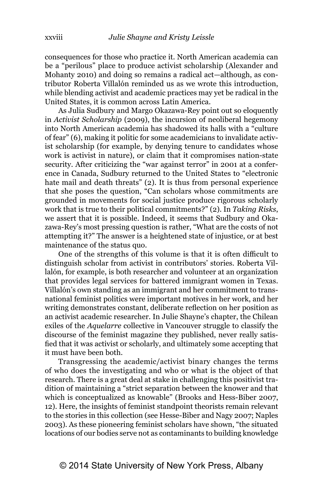consequences for those who practice it. North American academia can be a "perilous" place to produce activist scholarship (Alexander and Mohanty 2010) and doing so remains a radical act—although, as contributor Roberta Villalón reminded us as we wrote this introduction, while blending activist and academic practices may yet be radical in the United States, it is common across Latin America.

As Julia Sudbury and Margo Okazawa-Rey point out so eloquently in *Activist Scholarship* (2009), the incursion of neoliberal hegemony into North American academia has shadowed its halls with a "culture of fear" (6), making it politic for some academicians to invalidate activist scholarship (for example, by denying tenure to candidates whose work is activist in nature), or claim that it compromises nation-state security. After criticizing the "war against terror" in 2001 at a conference in Canada, Sudbury returned to the United States to "electronic hate mail and death threats" (2). It is thus from personal experience that she poses the question, "Can scholars whose commitments are grounded in movements for social justice produce rigorous scholarly work that is true to their political commitments?" (2). In *Taking Risks*, we assert that it is possible. Indeed, it seems that Sudbury and Okazawa-Rey's most pressing question is rather, "What are the costs of not attempting it?" The answer is a heightened state of injustice, or at best maintenance of the status quo.

One of the strengths of this volume is that it is often difficult to distinguish scholar from activist in contributors' stories. Roberta Villalón, for example, is both researcher and volunteer at an organization that provides legal services for battered immigrant women in Texas. Villalón's own standing as an immigrant and her commitment to transnational feminist politics were important motives in her work, and her writing demonstrates constant, deliberate reflection on her position as an activist academic researcher. In Julie Shayne's chapter, the Chilean exiles of the *Aquelarre* collective in Vancouver struggle to classify the discourse of the feminist magazine they published, never really satisfied that it was activist or scholarly, and ultimately some accepting that it must have been both.

Transgressing the academic/activist binary changes the terms of who does the investigating and who or what is the object of that research. There is a great deal at stake in challenging this positivist tradition of maintaining a "strict separation between the knower and that which is conceptualized as knowable" (Brooks and Hess-Biber 2007, 12). Here, the insights of feminist standpoint theorists remain relevant to the stories in this collection (see Hesse-Biber and Nagy 2007; Naples 2003). As these pioneering feminist scholars have shown, "the situated locations of our bodies serve not as contaminants to building knowledge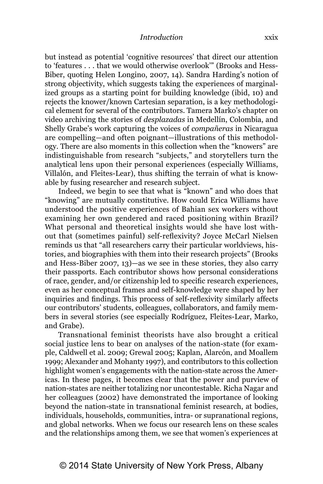but instead as potential 'cognitive resources' that direct our attention to 'features . . . that we would otherwise overlook'" (Brooks and Hess-Biber, quoting Helen Longino, 2007, 14). Sandra Harding's notion of strong objectivity, which suggests taking the experiences of marginalized groups as a starting point for building knowledge (ibid, 10) and rejects the knower/known Cartesian separation, is a key methodological element for several of the contributors. Tamera Marko's chapter on video archiving the stories of *desplazadas* in Medellín, Colombia, and Shelly Grabe's work capturing the voices of *compañeras* in Nicaragua are compelling—and often poignant—illustrations of this methodology. There are also moments in this collection when the "knowers" are indistinguishable from research "subjects," and storytellers turn the analytical lens upon their personal experiences (especially Williams, Villalón, and Fleites-Lear), thus shifting the terrain of what is knowable by fusing researcher and research subject.

Indeed, we begin to see that what is "known" and who does that "knowing" are mutually constitutive. How could Erica Williams have understood the positive experiences of Bahian sex workers without examining her own gendered and raced positioning within Brazil? What personal and theoretical insights would she have lost without that (sometimes painful) self-reflexivity? Joyce McCarl Nielsen reminds us that "all researchers carry their particular worldviews, histories, and biographies with them into their research projects" (Brooks and Hess-Biber 2007, 13)—as we see in these stories, they also carry their passports. Each contributor shows how personal considerations of race, gender, and/or citizenship led to specific research experiences, even as her conceptual frames and self-knowledge were shaped by her inquiries and findings. This process of self-reflexivity similarly affects our contributors' students, colleagues, collaborators, and family members in several stories (see especially Rodríguez, Fleites-Lear, Marko, and Grabe).

Transnational feminist theorists have also brought a critical social justice lens to bear on analyses of the nation-state (for example, Caldwell et al. 2009; Grewal 2005; Kaplan, Alarcón, and Moallem 1999; Alexander and Mohanty 1997), and contributors to this collection highlight women's engagements with the nation-state across the Americas. In these pages, it becomes clear that the power and purview of nation-states are neither totalizing nor uncontestable. Richa Nagar and her colleagues (2002) have demonstrated the importance of looking beyond the nation-state in transnational feminist research, at bodies, individuals, households, communities, intra- or supranational regions, and global networks. When we focus our research lens on these scales and the relationships among them, we see that women's experiences at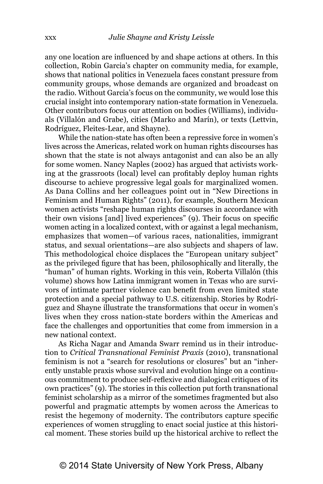any one location are influenced by and shape actions at others. In this collection, Robin Garcia's chapter on community media, for example, shows that national politics in Venezuela faces constant pressure from community groups, whose demands are organized and broadcast on the radio. Without Garcia's focus on the community, we would lose this crucial insight into contemporary nation-state formation in Venezuela. Other contributors focus our attention on bodies (Williams), individuals (Villalón and Grabe), cities (Marko and Marín), or texts (Lettvin, Rodríguez, Fleites-Lear, and Shayne).

While the nation-state has often been a repressive force in women's lives across the Americas, related work on human rights discourses has shown that the state is not always antagonist and can also be an ally for some women. Nancy Naples (2002) has argued that activists working at the grassroots (local) level can profitably deploy human rights discourse to achieve progressive legal goals for marginalized women. As Dana Collins and her colleagues point out in "New Directions in Feminism and Human Rights" (2011), for example, Southern Mexican women activists "reshape human rights discourses in accordance with their own visions [and] lived experiences" (9). Their focus on specific women acting in a localized context, with or against a legal mechanism, emphasizes that women—of various races, nationalities, immigrant status, and sexual orientations—are also subjects and shapers of law. This methodological choice displaces the "European unitary subject" as the privileged figure that has been, philosophically and literally, the "human" of human rights. Working in this vein, Roberta Villalón (this volume) shows how Latina immigrant women in Texas who are survivors of intimate partner violence can benefit from even limited state protection and a special pathway to U.S. citizenship. Stories by Rodríguez and Shayne illustrate the transformations that occur in women's lives when they cross nation-state borders within the Americas and face the challenges and opportunities that come from immersion in a new national context.

As Richa Nagar and Amanda Swarr remind us in their introduction to *Critical Transnational Feminist Praxis* (2010), transnational feminism is not a "search for resolutions or closures" but an "inherently unstable praxis whose survival and evolution hinge on a continuous commitment to produce self-reflexive and dialogical critiques of its own practices" (9). The stories in this collection put forth transnational feminist scholarship as a mirror of the sometimes fragmented but also powerful and pragmatic attempts by women across the Americas to resist the hegemony of modernity. The contributors capture specific experiences of women struggling to enact social justice at this historical moment. These stories build up the historical archive to reflect the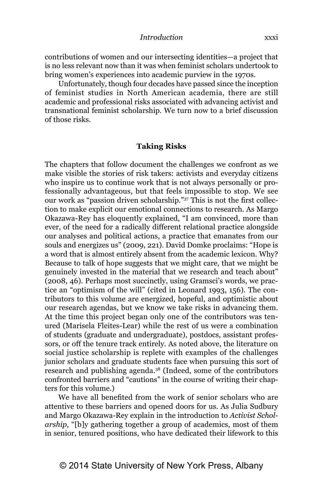contributions of women and our intersecting identities—a project that is no less relevant now than it was when feminist scholars undertook to bring women's experiences into academic purview in the 1970s.

Unfortunately, though four decades have passed since the inception of feminist studies in North American academia, there are still academic and professional risks associated with advancing activist and transnational feminist scholarship. We turn now to a brief discussion of those risks.

# **Taking Risks**

The chapters that follow document the challenges we confront as we make visible the stories of risk takers: activists and everyday citizens who inspire us to continue work that is not always personally or professionally advantageous, but that feels impossible to stop. We see our work as "passion driven scholarship."37 This is not the first collection to make explicit our emotional connections to research. As Margo Okazawa-Rey has eloquently explained, "I am convinced, more than ever, of the need for a radically different relational practice alongside our analyses and political actions, a practice that emanates from our souls and energizes us" (2009, 221). David Domke proclaims: "Hope is a word that is almost entirely absent from the academic lexicon. Why? Because to talk of hope suggests that we might care, that we might be genuinely invested in the material that we research and teach about" (2008, 46). Perhaps most succinctly, using Gramsci's words, we practice an "optimism of the will" (cited in Leonard 1993, 156). The contributors to this volume are energized, hopeful, and optimistic about our research agendas, but we know we take risks in advancing them. At the time this project began only one of the contributors was tenured (Marisela Fleites-Lear) while the rest of us were a combination of students (graduate and undergraduate), postdocs, assistant professors, or off the tenure track entirely. As noted above, the literature on social justice scholarship is replete with examples of the challenges junior scholars and graduate students face when pursuing this sort of research and publishing agenda.38 (Indeed, some of the contributors confronted barriers and "cautions" in the course of writing their chapters for this volume.)

We have all benefited from the work of senior scholars who are attentive to these barriers and opened doors for us. As Julia Sudbury and Margo Okazawa-Rey explain in the introduction to *Activist Scholarship,* "[b]y gathering together a group of academics, most of them in senior, tenured positions, who have dedicated their lifework to this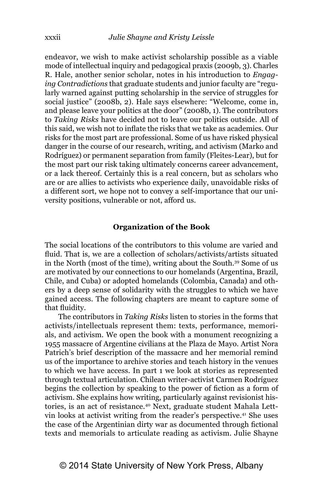endeavor, we wish to make activist scholarship possible as a viable mode of intellectual inquiry and pedagogical praxis (2009b, 3). Charles R. Hale, another senior scholar, notes in his introduction to *Engaging Contradictions* that graduate students and junior faculty are "regularly warned against putting scholarship in the service of struggles for social justice" (2008b, 2). Hale says elsewhere: "Welcome, come in, and please leave your politics at the door" (2008b, 1). The contributors to *Taking Risks* have decided not to leave our politics outside. All of this said, we wish not to inflate the risks that we take as academics. Our risks for the most part are professional. Some of us have risked physical danger in the course of our research, writing, and activism (Marko and Rodríguez) or permanent separation from family (Fleites-Lear), but for the most part our risk taking ultimately concerns career advancement, or a lack thereof. Certainly this is a real concern, but as scholars who are or are allies to activists who experience daily, unavoidable risks of a different sort, we hope not to convey a self-importance that our university positions, vulnerable or not, afford us.

### **Organization of the Book**

The social locations of the contributors to this volume are varied and fluid. That is, we are a collection of scholars/activists/artists situated in the North (most of the time), writing about the South.39 Some of us are motivated by our connections to our homelands (Argentina, Brazil, Chile, and Cuba) or adopted homelands (Colombia, Canada) and others by a deep sense of solidarity with the struggles to which we have gained access. The following chapters are meant to capture some of that fluidity.

The contributors in *Taking Risks* listen to stories in the forms that activists/intellectuals represent them: texts, performance, memorials, and activism. We open the book with a monument recognizing a 1955 massacre of Argentine civilians at the Plaza de Mayo. Artist Nora Patrich's brief description of the massacre and her memorial remind us of the importance to archive stories and teach history in the venues to which we have access. In part 1 we look at stories as represented through textual articulation. Chilean writer-activist Carmen Rodríguez begins the collection by speaking to the power of fiction as a form of activism. She explains how writing, particularly against revisionist histories, is an act of resistance.40 Next, graduate student Mahala Lettvin looks at activist writing from the reader's perspective.41 She uses the case of the Argentinian dirty war as documented through fictional texts and memorials to articulate reading as activism. Julie Shayne

© 2014 State University of New York Press, Albany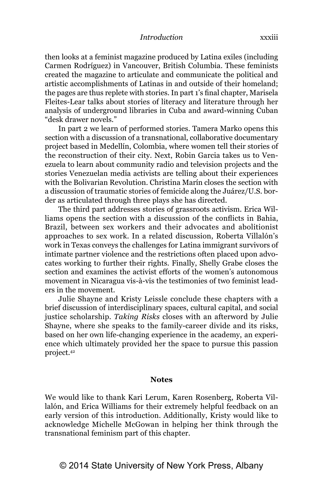#### *Introduction* xxxiii

then looks at a feminist magazine produced by Latina exiles (including Carmen Rodríguez) in Vancouver, British Columbia. These feminists created the magazine to articulate and communicate the political and artistic accomplishments of Latinas in and outside of their homeland; the pages are thus replete with stories. In part 1's final chapter, Marisela Fleites-Lear talks about stories of literacy and literature through her analysis of underground libraries in Cuba and award-winning Cuban "desk drawer novels."

In part 2 we learn of performed stories. Tamera Marko opens this section with a discussion of a transnational, collaborative documentary project based in Medellín, Colombia, where women tell their stories of the reconstruction of their city. Next, Robin Garcia takes us to Venezuela to learn about community radio and television projects and the stories Venezuelan media activists are telling about their experiences with the Bolivarian Revolution. Christina Marín closes the section with a discussion of traumatic stories of femicide along the Juárez/U.S. border as articulated through three plays she has directed.

The third part addresses stories of grassroots activism. Erica Williams opens the section with a discussion of the conflicts in Bahia, Brazil, between sex workers and their advocates and abolitionist approaches to sex work. In a related discussion, Roberta Villalón's work in Texas conveys the challenges for Latina immigrant survivors of intimate partner violence and the restrictions often placed upon advocates working to further their rights. Finally, Shelly Grabe closes the section and examines the activist efforts of the women's autonomous movement in Nicaragua vis-à-vis the testimonies of two feminist leaders in the movement.

Julie Shayne and Kristy Leissle conclude these chapters with a brief discussion of interdisciplinary spaces, cultural capital, and social justice scholarship. *Taking Risks* closes with an afterword by Julie Shayne, where she speaks to the family-career divide and its risks, based on her own life-changing experience in the academy, an experience which ultimately provided her the space to pursue this passion project.42

#### **Notes**

We would like to thank Kari Lerum, Karen Rosenberg, Roberta Villalón, and Erica Williams for their extremely helpful feedback on an early version of this introduction. Additionally, Kristy would like to acknowledge Michelle McGowan in helping her think through the transnational feminism part of this chapter.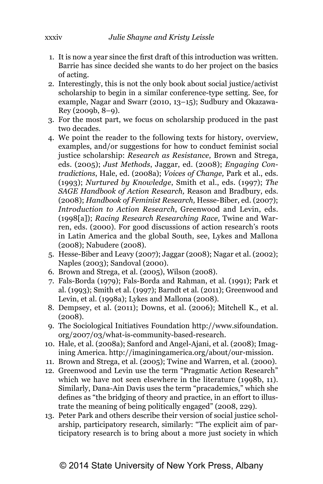- 1. It is now a year since the first draft of this introduction was written. Barrie has since decided she wants to do her project on the basics of acting.
- 2. Interestingly, this is not the only book about social justice/activist scholarship to begin in a similar conference-type setting. See, for example, Nagar and Swarr (2010, 13–15); Sudbury and Okazawa-Rey (2009b, 8–9).
- 3. For the most part, we focus on scholarship produced in the past two decades.
- 4. We point the reader to the following texts for history, overview, examples, and/or suggestions for how to conduct feminist social justice scholarship: *Research as Resistance,* Brown and Strega, eds. (2005); *Just Methods*, Jaggar, ed. (2008); *Engaging Contradictions*, Hale, ed. (2008a); *Voices of Change,* Park et al., eds. (1993); *Nurtured by Knowledge*, Smith et al., eds. (1997); *The SAGE Handbook of Action Research,* Reason and Bradbury, eds. (2008); *Handbook of Feminist Research,* Hesse-Biber, ed. (2007); *Introduction to Action Research*, Greenwood and Levin, eds. (1998[a]); *Racing Research Researching Race,* Twine and Warren, eds. (2000). For good discussions of action research's roots in Latin America and the global South, see, Lykes and Mallona (2008); Nabudere (2008).
- 5. Hesse-Biber and Leavy (2007); Jaggar (2008); Nagar et al. (2002); Naples (2003); Sandoval (2000).
- 6. Brown and Strega, et al. (2005), Wilson (2008).
- 7. Fals-Borda (1979); Fals-Borda and Rahman, et al. (1991); Park et al. (1993); Smith et al. (1997); Barndt et al. (2011); Greenwood and Levin, et al. (1998a); Lykes and Mallona (2008).
- 8. Dempsey, et al. (2011); Downs, et al. (2006); Mitchell K., et al. (2008).
- 9. The Sociological Initiatives Foundation http://www.sifoundation. org/2007/03/what-is-community-based-research.
- 10. Hale, et al. (2008a); Sanford and Angel-Ajani, et al. (2008); Imagining America. http://imaginingamerica.org/about/our-mission.
- 11. Brown and Strega, et al. (2005); Twine and Warren, et al. (2000).
- 12. Greenwood and Levin use the term "Pragmatic Action Research" which we have not seen elsewhere in the literature (1998b, 11). Similarly, Dana-Ain Davis uses the term "pracademics," which she defines as "the bridging of theory and practice, in an effort to illustrate the meaning of being politically engaged" (2008, 229).
- 13. Peter Park and others describe their version of social justice scholarship, participatory research, similarly: "The explicit aim of participatory research is to bring about a more just society in which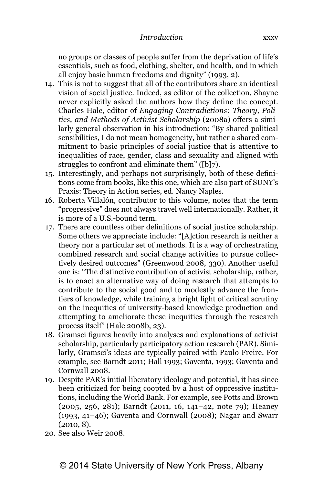no groups or classes of people suffer from the deprivation of life's essentials, such as food, clothing, shelter, and health, and in which all enjoy basic human freedoms and dignity" (1993, 2).

- 14. This is not to suggest that all of the contributors share an identical vision of social justice. Indeed, as editor of the collection, Shayne never explicitly asked the authors how they define the concept. Charles Hale, editor of *Engaging Contradictions: Theory, Politics, and Methods of Activist Scholarship* (2008a) offers a similarly general observation in his introduction: "By shared political sensibilities, I do not mean homogeneity, but rather a shared commitment to basic principles of social justice that is attentive to inequalities of race, gender, class and sexuality and aligned with struggles to confront and eliminate them" ([b]7).
- 15. Interestingly, and perhaps not surprisingly, both of these definitions come from books, like this one, which are also part of SUNY's Praxis: Theory in Action series, ed. Nancy Naples.
- 16. Roberta Villalón, contributor to this volume, notes that the term "progressive" does not always travel well internationally. Rather, it is more of a U.S.-bound term.
- 17. There are countless other definitions of social justice scholarship. Some others we appreciate include: "[A]ction research is neither a theory nor a particular set of methods. It is a way of orchestrating combined research and social change activities to pursue collectively desired outcomes" (Greenwood 2008, 330). Another useful one is: "The distinctive contribution of activist scholarship, rather, is to enact an alternative way of doing research that attempts to contribute to the social good and to modestly advance the frontiers of knowledge, while training a bright light of critical scrutiny on the inequities of university-based knowledge production and attempting to ameliorate these inequities through the research process itself" (Hale 2008b, 23).
- 18. Gramsci figures heavily into analyses and explanations of activist scholarship, particularly participatory action research (PAR). Similarly, Gramsci's ideas are typically paired with Paulo Freire. For example, see Barndt 2011; Hall 1993; Gaventa, 1993; Gaventa and Cornwall 2008.
- 19. Despite PAR's initial liberatory ideology and potential, it has since been criticized for being coopted by a host of oppressive institutions, including the World Bank. For example, see Potts and Brown (2005, 256, 281); Barndt (2011, 16, 141–42, note 79); Heaney (1993, 41–46); Gaventa and Cornwall (2008); Nagar and Swarr (2010, 8).
- 20. See also Weir 2008.